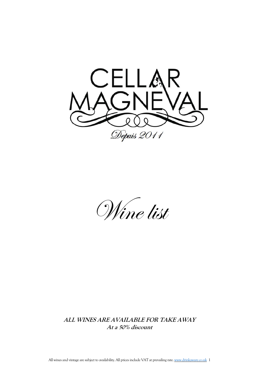

Wine list

**ALL WINES ARE AVAILABLE FOR TAKE AWAY At <sup>a</sup> 50% discount**

All wines and vintage are subject to availability. All prices include VAT at prevailing rate. [www.drinkaware.co.uk](http://www.drinkaware.co.uk/) 1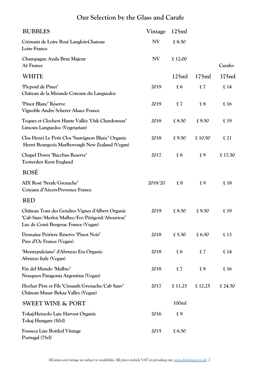# **Our Selection by the Glass and Carafe**

| <b>BUBBLES</b>                                                                                                                             | Vintage   | 125ml       |        |         |
|--------------------------------------------------------------------------------------------------------------------------------------------|-----------|-------------|--------|---------|
| Crémant de Loire Rosé Langlois-Chateau<br>Loire France                                                                                     | NV        | £8.50       |        |         |
| Champagne Ayala Brut Majeur<br>Aÿ France                                                                                                   | <b>NV</b> | £12.00      |        | Carafes |
| <b>WHITE</b>                                                                                                                               |           | 125ml       | 175ml  | 375ml   |
| 'Picpoul de Pinet'<br>Château de la Mirande Coteaux du Languedoc                                                                           | 2019      | £6          | £7     | £14     |
| 'Pinot Blanc' Reserve<br>Vignoble Andre Scherer Alsace France                                                                              | 2019      | £7          | £ 8    | £16     |
| Toques et Clochers Haute Vallée 'Oak Chardonnay'<br>Limoux Languedoc (Vegetarian)                                                          | 2018      | £8.50       | £9.50  | £19     |
| Clos Henri Le Petit Clos 'Sauvignon Blanc' Organic<br>Henri Bourgeois Marlborough New Zealand (Vegan)                                      | 2018      | £9.50       | £10.50 | £21     |
| Chapel Down 'Bacchus Reserve'<br>Tenterden Kent England                                                                                    | 2017      | £ 8         | £9     | £17.50  |
| <b>ROSÉ</b>                                                                                                                                |           |             |        |         |
| AIX Rosé 'Syrah/Grenache'<br>Coteaux d'Aix-en-Provence France                                                                              | 2019/20   | $\pounds 8$ | £9     | £18     |
| <b>RED</b>                                                                                                                                 |           |             |        |         |
| Château Tour des Gendres Vignes d'Albert Organic<br>'Cab Sauv/Merlot/Malbec/Fer/Périgord/Abouriou'<br>Luc de Conti Bergerac France (Vegan) | 2019      | £8.50       | £9.50  | £19     |
| Domaine Peiriere Réserve 'Pinot Noir'<br>Pays d'Oc France (Vegan)                                                                          | 2018      | £ $5.50$    | £6.50  | £13     |
| 'Montepulciano' d'Abruzzo Era Organic<br>Abruzzo Italy (Vegan)                                                                             | 2018      | £6          | £7     | £14     |
| Fin del Mundo 'Malbec'<br>Neuquen Patagonia Argentina (Vegan)                                                                              | 2018      | £7          | £ 8    | £16     |
| Hochar Père et Fils 'Cinsault/Grenache/Cab Sauv'<br>Château Musar Bekaa Valley (Vegan)                                                     | 2017      | £11.25      | £12.25 | £ 24.50 |
| <b>SWEET WINE &amp; PORT</b>                                                                                                               |           | 100ml       |        |         |
| Tokaj-Hetszolo Late Harvest Organic<br>Tokaj Hungary (50cl)                                                                                | 2016      | £9          |        |         |
| <b>Fonseca Late Bottled Vintage</b><br>Portugal (75cl)                                                                                     | 2015      | £6.50       |        |         |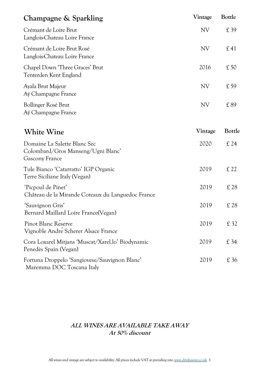| Champagne & Sparkling                                                                | Vintage   | <b>Bottle</b> |
|--------------------------------------------------------------------------------------|-----------|---------------|
| Crémant de Loire Brut<br>Langlois-Chateau Loire France                               | <b>NV</b> | £39           |
| Crémant de Loire Brut Rosé<br>Langlois-Chateau Loire France                          | <b>NV</b> | £41           |
| Chapel Down 'Three Graces' Brut<br>Tenterden Kent England                            | 2016      | £50           |
| Ayala Brut Majeur<br>Aÿ Champagne France                                             | <b>NV</b> | £59           |
| Bollinger Rosé Brut<br>Aÿ Champagne France                                           | <b>NV</b> | £89           |
| <b>White Wine</b>                                                                    | Vintage   | Bottle        |
| Domaine La Salette Blanc Sec<br>Colombard/Gros Manseng/Ugni Blanc'<br>Gascony France | 2020      | £24           |
| Tule Bianco 'Catarratto' IGP Organic<br>Terre Siciliane Italy (Vegan)                | 2019      | £ 22          |
| 'Picpoul de Pinet'<br>Château de la Mirande Coteaux du Languedoc France              | 2019      | £28           |
| 'Sauvignon Gris'<br>Bernard Maillard Loire France(Vegan)                             | 2019      | £ 28          |
| Pinot Blanc Reserve<br>Vignoble Andre Scherer Alsace France                          | 2019      | £ 32          |
| Cora Loxarel Mitjans 'Muscat/Xarel.lo' Biodynamic<br>Penedès Spain (Vegan)           | 2019      | £34           |
| Fortuna Droppelo 'Sangiovese/Sauvignon Blanc'<br>Maremma DOC Toscana Italy           | 2019      | £36           |

## **ALL WINES ARE AVAILABLE TAKE AWAY At 50% discount**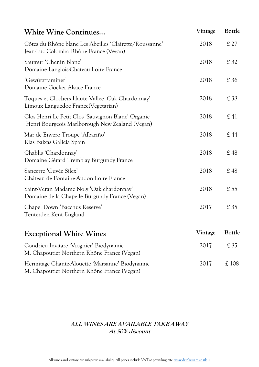| <b>White Wine Continues</b>                                                                           | Vintage | Bottle        |
|-------------------------------------------------------------------------------------------------------|---------|---------------|
| Côtes du Rhône blanc Les Abeilles 'Clairette/Roussanne'<br>Jean-Luc Colombo Rhône France (Vegan)      | 2018    | £27           |
| Saumur 'Chenin Blanc'<br>Domaine Langlois-Chateau Loire France                                        | 2018    | £ 32          |
| 'Gewürztraminer'<br>Domaine Gocker Alsace France                                                      | 2018    | £36           |
| Toques et Clochers Haute Vallée 'Oak Chardonnay'<br>Limoux Languedoc France(Vegetarian)               | 2018    | £38           |
| Clos Henri Le Petit Clos 'Sauvignon Blanc' Organic<br>Henri Bourgeois Marlborough New Zealand (Vegan) | 2018    | £41           |
| Mar de Envero Troupe 'Albariño'<br>Rias Baixas Galicia Spain                                          | 2018    | £44           |
| Chablis 'Chardonnay'<br>Domaine Gérard Tremblay Burgundy France                                       | 2018    | £48           |
| Sancerre 'Cuvée Silex'<br>Château de Fontaine-Audon Loire France                                      | 2018    | £48           |
| Saint-Veran Madame Noly 'Oak chardonnay'<br>Domaine de la Chapelle Burgundy France (Vegan)            | 2018    | £55           |
| Chapel Down 'Bacchus Reserve'<br>Tenterden Kent England                                               | 2017    | £35           |
| <b>Exceptional White Wines</b>                                                                        | Vintage | <b>Bottle</b> |
| Condrieu Invitare 'Viognier' Biodynamic<br>M. Chapoutier Northern Rhône France (Vegan)                | 2017    | £85           |
| Hermitage Chante-Alouette 'Marsanne' Biodynamic<br>M. Chapoutier Northern Rhône France (Vegan)        | 2017    | £108          |

#### **ALL WINES ARE AVAILABLE TAKE AWAY At 50% discount**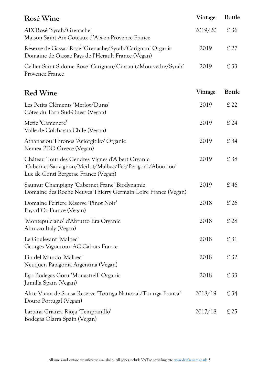| Rosé Wine                                                                                                                                            | Vintage | Bottle |
|------------------------------------------------------------------------------------------------------------------------------------------------------|---------|--------|
| AIX Rosé 'Syrah/Grenache'<br>Maison Saint Aix Coteaux d'Aix-en-Provence France                                                                       | 2019/20 | £36    |
| Reserve de Gassac Rose 'Grenache/Syrah/Carignan' Organic<br>Domaine de Gassac Pays de l'Herault France (Vegan)                                       | 2019    | £27    |
| Cellier Saint Sidoine Rosé 'Carignan/Cinsault/Mourvèdre/Syrah'<br>Provence France                                                                    | 2019    | £ 33   |
| <b>Red Wine</b>                                                                                                                                      | Vintage | Bottle |
| Les Petits Cléments 'Merlot/Duras'<br>Côtes du Tarn Sud-Ouest (Vegan)                                                                                | 2019    | £22    |
| Metic 'Camenere'<br>Valle de Colchagua Chile (Vegan)                                                                                                 | 2019    | £24    |
| Athanasiou Thronos 'Agiorgitiko' Organic<br>Nemea PDO Greece (Vegan)                                                                                 | 2019    | £34    |
| Château Tour des Gendres Vignes d'Albert Organic<br>'Cabernet Sauvignon/Merlot/Malbec/Fer/Périgord/Abouriou'<br>Luc de Conti Bergerac France (Vegan) | 2019    | £38    |
| Saumur Champigny 'Cabernet Franc' Biodynamic<br>Domaine des Roche Neuves Thierry Germain Loire France (Vegan)                                        | 2019    | £46    |
| Domaine Peiriere Réserve 'Pinot Noir'<br>Pays d'Oc France (Vegan)                                                                                    | 2018    | £26    |
| 'Montepulciano' d'Abruzzo Era Organic<br>Abruzzo Italy (Vegan)                                                                                       | 2018    | £28    |
| Le Gouleyant 'Malbec'<br>Georges Vigouroux AC Cahors France                                                                                          | 2018    | £31    |
| Fin del Mundo 'Malbec'<br>Neuquen Patagonia Argentina (Vegan)                                                                                        | 2018    | £ 32   |
| Ego Bodegas Goru 'Monastrell' Organic<br>Jumilla Spain (Vegan)                                                                                       | 2018    | £ 33   |
| Alice Vieira de Sousa Reserve 'Touriga National/Touriga Franca'<br>Douro Portugal (Vegan)                                                            | 2018/19 | £34    |
| Laztana Crianza Rioja 'Tempranillo'<br>Bodegas Olarra Spain (Vegan)                                                                                  | 2017/18 | £25    |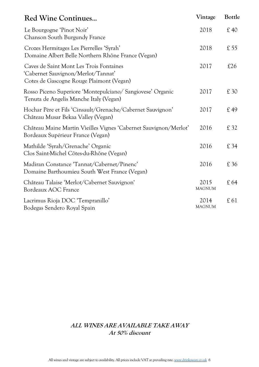| <b>Red Wine Continues</b>                                                                                                 | Vintage               | Bottle |
|---------------------------------------------------------------------------------------------------------------------------|-----------------------|--------|
| Le Bourgogne 'Pinot Noir'<br>Chanson South Burgundy France                                                                | 2018                  | £40    |
| Crozes Hermitages Les Pierrelles 'Syrah'<br>Domaine Albert Belle Northern Rhône France (Vegan)                            | 2018                  | £55    |
| Caves de Saint Mont Les Trois Fontaines<br>'Cabernet Sauvignon/Merlot/Tannat'<br>Cotes de Gascogne Rouge Plaimont (Vegan) | 2017                  | £26    |
| Rosso Piceno Superiore 'Montepulciano/ Sangiovese' Organic<br>Tenuta de Angelis Manche Italy (Vegan)                      | 2017                  | £30    |
| Hochar Père et Fils 'Cinsault/Grenache/Cabernet Sauvignon'<br>Château Musar Bekaa Valley (Vegan)                          | 2017                  | £49    |
| Château Maine Martin Vieilles Vignes 'Cabernet Sauvignon/Merlot'<br>Bordeaux Supérieur France (Vegan)                     | 2016                  | £ 32   |
| Mathilde 'Syrah/Grenache' Organic<br>Clos Saint-Michel Côtes-du-Rhône (Vegan)                                             | 2016                  | £34    |
| Madiran Constance 'Tannat/Cabernet/Pinenc'<br>Domaine Barthoumieu South West France (Vegan)                               | 2016                  | £36    |
| Château Talaise 'Merlot/Cabernet Sauvignon'<br>Bordeaux AOC France                                                        | 2015<br><b>MAGNUM</b> | £64    |
| Lacrimus Rioja DOC 'Tempranillo'<br>Bodegas Sendero Royal Spain                                                           | 2014<br><b>MAGNUM</b> | £ 61   |

## **ALL WINES ARE AVAILABLE TAKE AWAY At 50% discount**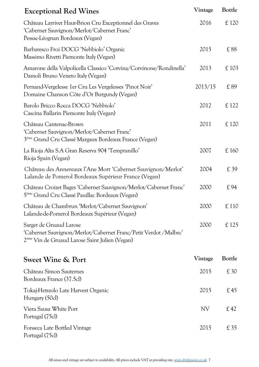| <b>Exceptional Red Wines</b>                                                                                                                             | Vintage   | Bottle |
|----------------------------------------------------------------------------------------------------------------------------------------------------------|-----------|--------|
| Château Larrivet Haut-Brion Cru Exceptionnel des Graves<br>'Cabernet Sauvignon/Merlot/Cabernet Franc'<br>Pessac-Léognan Bordeaux (Vegan)                 | 2016      | £ 120  |
| Barbaresco Froi DOCG 'Nebbiolo' Organic<br>Massimo Rivetti Piemonte Italy (Vegan)                                                                        | 2015      | £88    |
| Amarone della Valpolicella Classico 'Corvina/Corvinone/Rondinella'<br>Damoli Bruno Veneto Italy (Vegan)                                                  | 2013      | £103   |
| Pernand-Vergelesse 1er Cru Les Vergelesses 'Pinot Noir'<br>Domaine Chanson Côte d'Or Burgundy (Vegan)                                                    | 2013/15   | £89    |
| Barolo Bricco Rocca DOCG 'Nebbiolo'<br>Cascina Ballarin Piemonte Italy (Vegan)                                                                           | 2012      | £ 122  |
| Château Cantenac-Brown<br>'Cabernet Sauvignon/Merlot/Cabernet Franc'<br>3 <sup>ème</sup> Grand Cru Classé Margaux Bordeaux France (Vegan)                | 2011      | £ 120  |
| La Rioja Alta S.A Gran Reserva 904 'Tempranillo'<br>Rioja Spain (Vegan)                                                                                  | 2007      | £160   |
| Château des Annereaux l'Ane Mort 'Cabernet Sauvignon/Merlot'<br>Lalande de Pomerol Bordeaux Supérieur France (Vegan)                                     | 2004      | £39    |
| Château Croizet Bages 'Cabernet Sauvignon/Merlot/Cabernet Franc'<br>5 <sup>ème</sup> Grand Cru Classé Pauillac Bordeaux (Vegan)                          | 2000      | £94    |
| Château de Chambrun 'Merlot/Cabernet Sauvignon'<br>Lalande-de-Pomerol Bordeaux Supérieur (Vegan)                                                         | 2000      | £110   |
| Sarget de Gruaud Larose<br>'Cabernet Sauvignon/Merlot/Cabernet Franc/Petit Verdot /Malbec'<br>2 <sup>ème</sup> Vin de Gruaud Larose Saint Julien (Vegan) | 2000      | £125   |
| <b>Sweet Wine &amp; Port</b>                                                                                                                             | Vintage   | Bottle |
| Château Simon Sauternes<br>Bordeaux France (37.5cl)                                                                                                      | 2015      | £30    |
| Tokaj-Hetszolo Late Harvest Organic<br>Hungary (50cl)                                                                                                    | 2015      | £45    |
| Viera Sausa White Port<br>Portugal (75cl)                                                                                                                | <b>NV</b> | £42    |
| Fonseca Late Bottled Vintage<br>Portugal (75cl)                                                                                                          | 2015      | £35    |